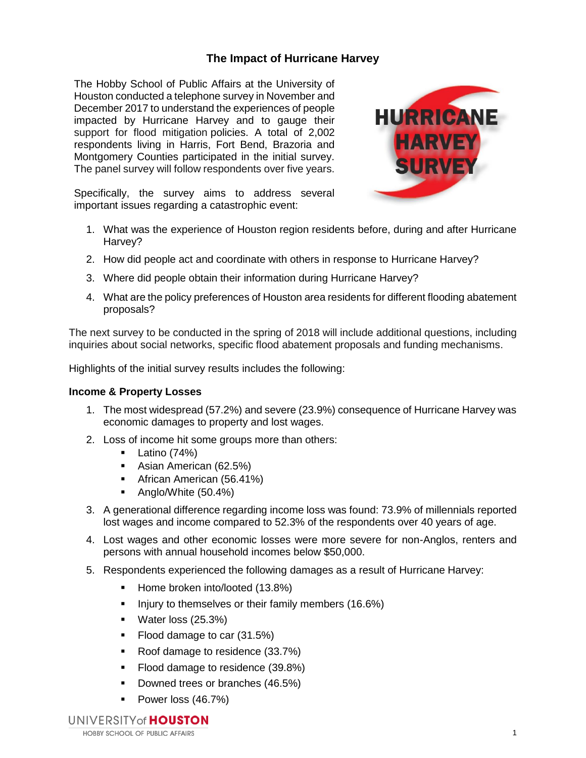# **The Impact of Hurricane Harvey**

The Hobby School of Public Affairs at the University of Houston conducted a telephone survey in November and December 2017 to understand the experiences of people impacted by Hurricane Harvey and to gauge their support for flood mitigation policies. A total of 2,002 respondents living in Harris, Fort Bend, Brazoria and Montgomery Counties participated in the initial survey. The panel survey will follow respondents over five years.



Specifically, the survey aims to address several important issues regarding a catastrophic event:

- 1. What was the experience of Houston region residents before, during and after Hurricane Harvey?
- 2. How did people act and coordinate with others in response to Hurricane Harvey?
- 3. Where did people obtain their information during Hurricane Harvey?
- 4. What are the policy preferences of Houston area residents for different flooding abatement proposals?

The next survey to be conducted in the spring of 2018 will include additional questions, including inquiries about social networks, specific flood abatement proposals and funding mechanisms.

Highlights of the initial survey results includes the following:

#### **Income & Property Losses**

- 1. The most widespread (57.2%) and severe (23.9%) consequence of Hurricane Harvey was economic damages to property and lost wages.
- 2. Loss of income hit some groups more than others:
	- $\blacksquare$  Latino (74%)
	- **Asian American (62.5%)**
	- **African American (56.41%)**
	- Anglo/White (50.4%)
- 3. A generational difference regarding income loss was found: 73.9% of millennials reported lost wages and income compared to 52.3% of the respondents over 40 years of age.
- 4. Lost wages and other economic losses were more severe for non-Anglos, renters and persons with annual household incomes below \$50,000.
- 5. Respondents experienced the following damages as a result of Hurricane Harvey:
	- Home broken into/looted (13.8%)
	- Injury to themselves or their family members (16.6%)
	- **Water loss (25.3%)**
	- Flood damage to car (31.5%)
	- Roof damage to residence (33.7%)
	- Flood damage to residence (39.8%)
	- Downed trees or branches (46.5%)
	- Power loss (46.7%)

UNIVERSITY of **HOUSTON**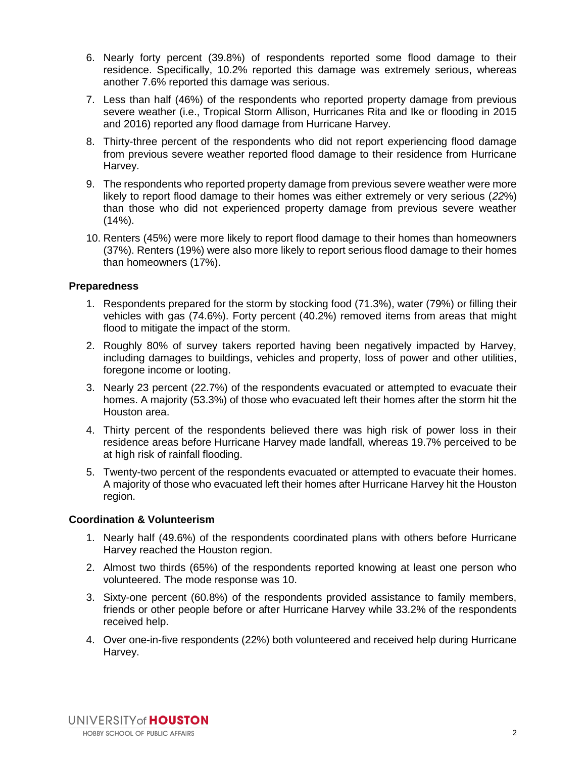- 6. Nearly forty percent (39.8%) of respondents reported some flood damage to their residence. Specifically, 10.2% reported this damage was extremely serious, whereas another 7.6% reported this damage was serious.
- 7. Less than half (46%) of the respondents who reported property damage from previous severe weather (i.e., Tropical Storm Allison, Hurricanes Rita and Ike or flooding in 2015 and 2016) reported any flood damage from Hurricane Harvey.
- 8. Thirty-three percent of the respondents who did not report experiencing flood damage from previous severe weather reported flood damage to their residence from Hurricane Harvey.
- 9. The respondents who reported property damage from previous severe weather were more likely to report flood damage to their homes was either extremely or very serious (*22*%) than those who did not experienced property damage from previous severe weather  $(14%)$ .
- 10. Renters (45%) were more likely to report flood damage to their homes than homeowners (37%). Renters (19%) were also more likely to report serious flood damage to their homes than homeowners (17%).

### **Preparedness**

- 1. Respondents prepared for the storm by stocking food (71.3%), water (79%) or filling their vehicles with gas (74.6%). Forty percent (40.2%) removed items from areas that might flood to mitigate the impact of the storm.
- 2. Roughly 80% of survey takers reported having been negatively impacted by Harvey, including damages to buildings, vehicles and property, loss of power and other utilities, foregone income or looting.
- 3. Nearly 23 percent (22.7%) of the respondents evacuated or attempted to evacuate their homes. A majority (53.3%) of those who evacuated left their homes after the storm hit the Houston area.
- 4. Thirty percent of the respondents believed there was high risk of power loss in their residence areas before Hurricane Harvey made landfall, whereas 19.7% perceived to be at high risk of rainfall flooding.
- 5. Twenty-two percent of the respondents evacuated or attempted to evacuate their homes. A majority of those who evacuated left their homes after Hurricane Harvey hit the Houston region.

# **Coordination & Volunteerism**

- 1. Nearly half (49.6%) of the respondents coordinated plans with others before Hurricane Harvey reached the Houston region.
- 2. Almost two thirds (65%) of the respondents reported knowing at least one person who volunteered. The mode response was 10.
- 3. Sixty-one percent (60.8%) of the respondents provided assistance to family members, friends or other people before or after Hurricane Harvey while 33.2% of the respondents received help.
- 4. Over one-in-five respondents (22%) both volunteered and received help during Hurricane Harvey.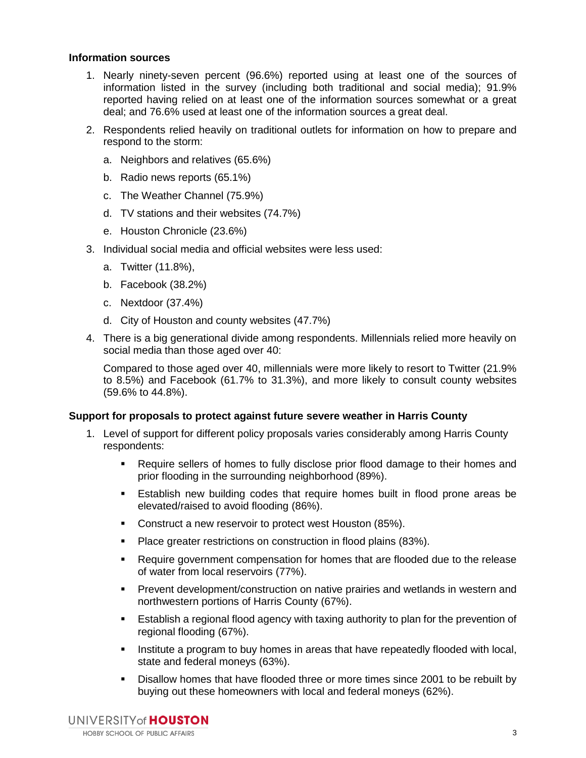#### **Information sources**

- 1. Nearly ninety-seven percent (96.6%) reported using at least one of the sources of information listed in the survey (including both traditional and social media); 91.9% reported having relied on at least one of the information sources somewhat or a great deal; and 76.6% used at least one of the information sources a great deal.
- 2. Respondents relied heavily on traditional outlets for information on how to prepare and respond to the storm:
	- a. Neighbors and relatives (65.6%)
	- b. Radio news reports (65.1%)
	- c. The Weather Channel (75.9%)
	- d. TV stations and their websites (74.7%)
	- e. Houston Chronicle (23.6%)
- 3. Individual social media and official websites were less used:
	- a. Twitter (11.8%),
	- b. Facebook (38.2%)
	- c. Nextdoor (37.4%)
	- d. City of Houston and county websites (47.7%)
- 4. There is a big generational divide among respondents. Millennials relied more heavily on social media than those aged over 40:

Compared to those aged over 40, millennials were more likely to resort to Twitter (21.9% to 8.5%) and Facebook (61.7% to 31.3%), and more likely to consult county websites (59.6% to 44.8%).

# **Support for proposals to protect against future severe weather in Harris County**

- 1. Level of support for different policy proposals varies considerably among Harris County respondents:
	- Require sellers of homes to fully disclose prior flood damage to their homes and prior flooding in the surrounding neighborhood (89%).
	- Establish new building codes that require homes built in flood prone areas be elevated/raised to avoid flooding (86%).
	- **Construct a new reservoir to protect west Houston (85%).**
	- **Place greater restrictions on construction in flood plains (83%).**
	- Require government compensation for homes that are flooded due to the release of water from local reservoirs (77%).
	- **Prevent development/construction on native prairies and wetlands in western and** northwestern portions of Harris County (67%).
	- **Establish a regional flood agency with taxing authority to plan for the prevention of** regional flooding (67%).
	- Institute a program to buy homes in areas that have repeatedly flooded with local, state and federal moneys (63%).
	- Disallow homes that have flooded three or more times since 2001 to be rebuilt by buying out these homeowners with local and federal moneys (62%).

UNIVERSITY of **HOUSTON HOBBY SCHOOL OF PUBLIC AFFAIRS**